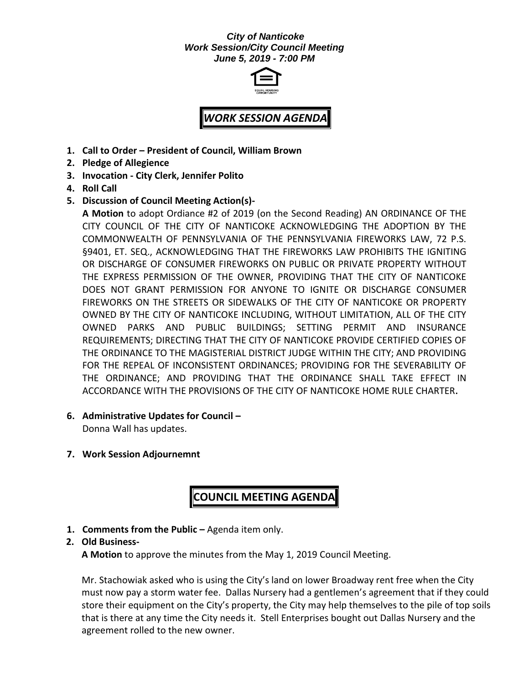### *City of Nanticoke Work Session/City Council Meeting June 5, 2019 - 7:00 PM*



# *WORK SESSION AGENDA*

- **1. Call to Order – President of Council, William Brown**
- **2. Pledge of Allegience**
- **3. Invocation - City Clerk, Jennifer Polito**
- **4. Roll Call**
- **5. Discussion of Council Meeting Action(s)-**

**A Motion** to adopt Ordiance #2 of 2019 (on the Second Reading) AN ORDINANCE OF THE CITY COUNCIL OF THE CITY OF NANTICOKE ACKNOWLEDGING THE ADOPTION BY THE COMMONWEALTH OF PENNSYLVANIA OF THE PENNSYLVANIA FIREWORKS LAW, 72 P.S. §9401, ET. SEQ., ACKNOWLEDGING THAT THE FIREWORKS LAW PROHIBITS THE IGNITING OR DISCHARGE OF CONSUMER FIREWORKS ON PUBLIC OR PRIVATE PROPERTY WITHOUT THE EXPRESS PERMISSION OF THE OWNER, PROVIDING THAT THE CITY OF NANTICOKE DOES NOT GRANT PERMISSION FOR ANYONE TO IGNITE OR DISCHARGE CONSUMER FIREWORKS ON THE STREETS OR SIDEWALKS OF THE CITY OF NANTICOKE OR PROPERTY OWNED BY THE CITY OF NANTICOKE INCLUDING, WITHOUT LIMITATION, ALL OF THE CITY OWNED PARKS AND PUBLIC BUILDINGS; SETTING PERMIT AND INSURANCE REQUIREMENTS; DIRECTING THAT THE CITY OF NANTICOKE PROVIDE CERTIFIED COPIES OF THE ORDINANCE TO THE MAGISTERIAL DISTRICT JUDGE WITHIN THE CITY; AND PROVIDING FOR THE REPEAL OF INCONSISTENT ORDINANCES; PROVIDING FOR THE SEVERABILITY OF THE ORDINANCE; AND PROVIDING THAT THE ORDINANCE SHALL TAKE EFFECT IN ACCORDANCE WITH THE PROVISIONS OF THE CITY OF NANTICOKE HOME RULE CHARTER**.**

**6. Administrative Updates for Council –**

Donna Wall has updates.

**7. Work Session Adjournemnt**

# **COUNCIL MEETING AGENDA**

**1. Comments from the Public –** Agenda item only.

### **2. Old Business-**

**A Motion** to approve the minutes from the May 1, 2019 Council Meeting.

Mr. Stachowiak asked who is using the City's land on lower Broadway rent free when the City must now pay a storm water fee. Dallas Nursery had a gentlemen's agreement that if they could store their equipment on the City's property, the City may help themselves to the pile of top soils that is there at any time the City needs it. Stell Enterprises bought out Dallas Nursery and the agreement rolled to the new owner.